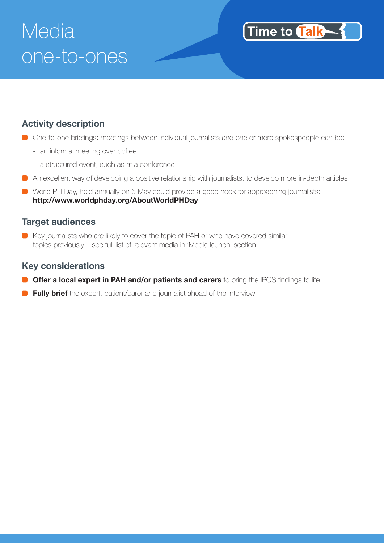# Media one-to-ones

#### **Activity description**

■ One-to-one briefings: meetings between individual journalists and one or more spokespeople can be:

Time to **Talk** 

- an informal meeting over coffee
- a structured event, such as at a conference
- An excellent way of developing a positive relationship with journalists, to develop more in-depth articles
- **C** World PH Day, held annually on 5 May could provide a good hook for approaching journalists: **http://www.worldphday.org/AboutWorldPHDay**

#### **Target audiences**

Key journalists who are likely to cover the topic of PAH or who have covered similar topics previously – see full list of relevant media in 'Media launch' section

#### **Key considerations**

- **Offer a local expert in PAH and/or patients and carers** to bring the IPCS findings to life
- **Fully brief** the expert, patient/carer and journalist ahead of the interview